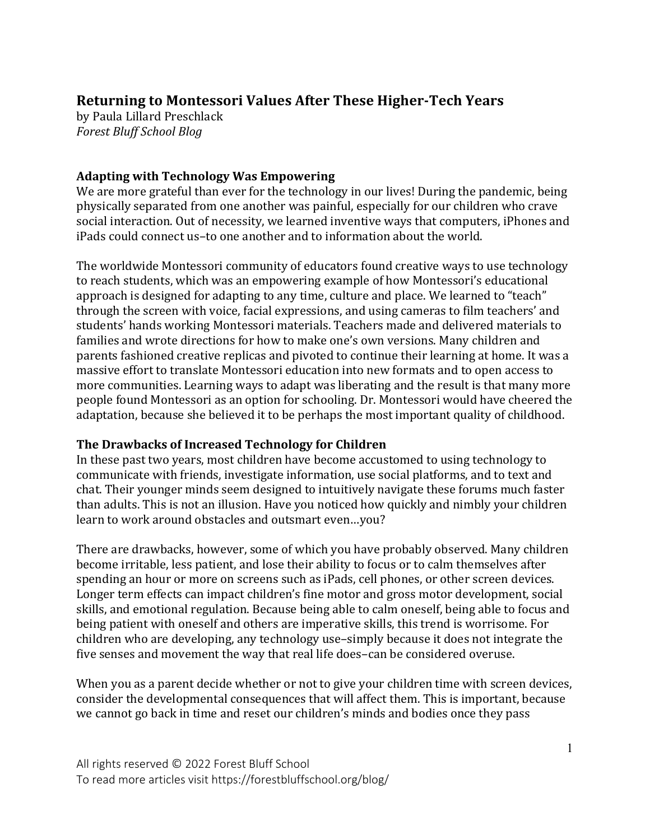# **Returning to Montessori Values After These Higher-Tech Years**

by Paula Lillard Preschlack *Forest Bluff School Blog*

### **Adapting with Technology Was Empowering**

We are more grateful than ever for the technology in our lives! During the pandemic, being physically separated from one another was painful, especially for our children who crave social interaction. Out of necessity, we learned inventive ways that computers, iPhones and iPads could connect us–to one another and to information about the world. 

The worldwide Montessori community of educators found creative ways to use technology to reach students, which was an empowering example of how Montessori's educational approach is designed for adapting to any time, culture and place. We learned to "teach" through the screen with voice, facial expressions, and using cameras to film teachers' and students' hands working Montessori materials. Teachers made and delivered materials to families and wrote directions for how to make one's own versions. Many children and parents fashioned creative replicas and pivoted to continue their learning at home. It was a massive effort to translate Montessori education into new formats and to open access to more communities. Learning ways to adapt was liberating and the result is that many more people found Montessori as an option for schooling. Dr. Montessori would have cheered the adaptation, because she believed it to be perhaps the most important quality of childhood.

#### **The Drawbacks of Increased Technology for Children**

In these past two years, most children have become accustomed to using technology to communicate with friends, investigate information, use social platforms, and to text and chat. Their younger minds seem designed to intuitively navigate these forums much faster than adults. This is not an illusion. Have you noticed how quickly and nimbly your children learn to work around obstacles and outsmart even...you?

There are drawbacks, however, some of which you have probably observed. Many children become irritable, less patient, and lose their ability to focus or to calm themselves after spending an hour or more on screens such as iPads, cell phones, or other screen devices. Longer term effects can impact children's fine motor and gross motor development, social skills, and emotional regulation. Because being able to calm oneself, being able to focus and being patient with oneself and others are imperative skills, this trend is worrisome. For children who are developing, any technology use-simply because it does not integrate the five senses and movement the way that real life does-can be considered overuse.

When you as a parent decide whether or not to give your children time with screen devices, consider the developmental consequences that will affect them. This is important, because we cannot go back in time and reset our children's minds and bodies once they pass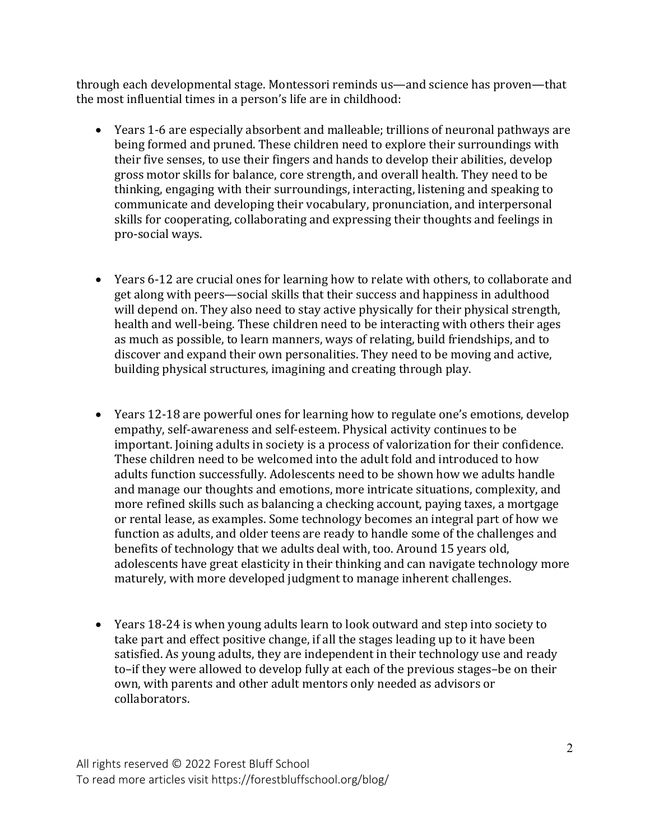through each developmental stage. Montessori reminds us—and science has proven—that the most influential times in a person's life are in childhood:

- Years 1-6 are especially absorbent and malleable; trillions of neuronal pathways are being formed and pruned. These children need to explore their surroundings with their five senses, to use their fingers and hands to develop their abilities, develop gross motor skills for balance, core strength, and overall health. They need to be thinking, engaging with their surroundings, interacting, listening and speaking to communicate and developing their vocabulary, pronunciation, and interpersonal skills for cooperating, collaborating and expressing their thoughts and feelings in pro-social ways.
- Years 6-12 are crucial ones for learning how to relate with others, to collaborate and get along with peers—social skills that their success and happiness in adulthood will depend on. They also need to stay active physically for their physical strength, health and well-being. These children need to be interacting with others their ages as much as possible, to learn manners, ways of relating, build friendships, and to discover and expand their own personalities. They need to be moving and active, building physical structures, imagining and creating through play.
- Years 12-18 are powerful ones for learning how to regulate one's emotions, develop empathy, self-awareness and self-esteem. Physical activity continues to be important. Joining adults in society is a process of valorization for their confidence. These children need to be welcomed into the adult fold and introduced to how adults function successfully. Adolescents need to be shown how we adults handle and manage our thoughts and emotions, more intricate situations, complexity, and more refined skills such as balancing a checking account, paying taxes, a mortgage or rental lease, as examples. Some technology becomes an integral part of how we function as adults, and older teens are ready to handle some of the challenges and benefits of technology that we adults deal with, too. Around 15 years old, adolescents have great elasticity in their thinking and can navigate technology more maturely, with more developed judgment to manage inherent challenges.
- Years 18-24 is when young adults learn to look outward and step into society to take part and effect positive change, if all the stages leading up to it have been satisfied. As young adults, they are independent in their technology use and ready to-if they were allowed to develop fully at each of the previous stages-be on their own, with parents and other adult mentors only needed as advisors or collaborators.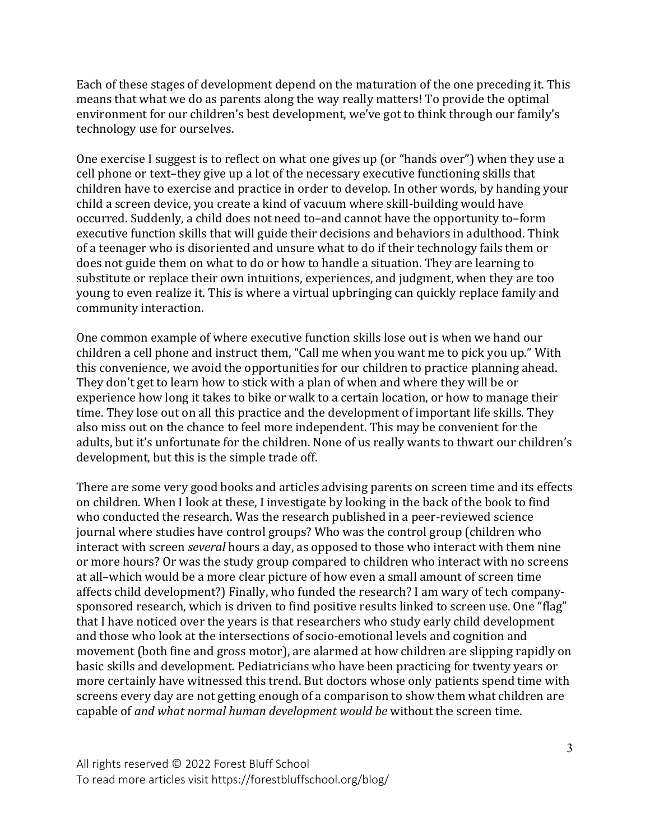Each of these stages of development depend on the maturation of the one preceding it. This means that what we do as parents along the way really matters! To provide the optimal environment for our children's best development, we've got to think through our family's technology use for ourselves.

One exercise I suggest is to reflect on what one gives up (or "hands over") when they use a cell phone or text-they give up a lot of the necessary executive functioning skills that children have to exercise and practice in order to develop. In other words, by handing your child a screen device, you create a kind of vacuum where skill-building would have occurred. Suddenly, a child does not need to-and cannot have the opportunity to-form executive function skills that will guide their decisions and behaviors in adulthood. Think of a teenager who is disoriented and unsure what to do if their technology fails them or does not guide them on what to do or how to handle a situation. They are learning to substitute or replace their own intuitions, experiences, and judgment, when they are too young to even realize it. This is where a virtual upbringing can quickly replace family and community interaction.

One common example of where executive function skills lose out is when we hand our children a cell phone and instruct them, "Call me when you want me to pick you up." With this convenience, we avoid the opportunities for our children to practice planning ahead. They don't get to learn how to stick with a plan of when and where they will be or experience how long it takes to bike or walk to a certain location, or how to manage their time. They lose out on all this practice and the development of important life skills. They also miss out on the chance to feel more independent. This may be convenient for the adults, but it's unfortunate for the children. None of us really wants to thwart our children's development, but this is the simple trade off.

There are some very good books and articles advising parents on screen time and its effects on children. When I look at these, I investigate by looking in the back of the book to find who conducted the research. Was the research published in a peer-reviewed science journal where studies have control groups? Who was the control group (children who interact with screen *several* hours a day, as opposed to those who interact with them nine or more hours? Or was the study group compared to children who interact with no screens at all-which would be a more clear picture of how even a small amount of screen time affects child development?) Finally, who funded the research? I am wary of tech companysponsored research, which is driven to find positive results linked to screen use. One "flag" that I have noticed over the years is that researchers who study early child development and those who look at the intersections of socio-emotional levels and cognition and movement (both fine and gross motor), are alarmed at how children are slipping rapidly on basic skills and development. Pediatricians who have been practicing for twenty vears or more certainly have witnessed this trend. But doctors whose only patients spend time with screens every day are not getting enough of a comparison to show them what children are capable of *and what normal human development would be* without the screen time.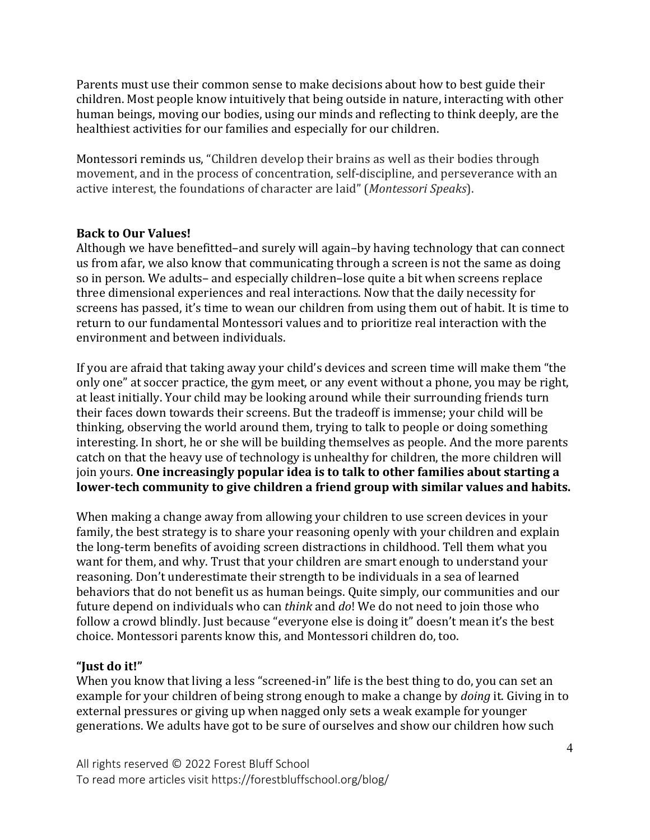Parents must use their common sense to make decisions about how to best guide their children. Most people know intuitively that being outside in nature, interacting with other human beings, moving our bodies, using our minds and reflecting to think deeply, are the healthiest activities for our families and especially for our children.

Montessori reminds us, "Children develop their brains as well as their bodies through movement, and in the process of concentration, self-discipline, and perseverance with an active interest, the foundations of character are laid" (Montessori Speaks).

#### **Back to Our Values!**

Although we have benefitted–and surely will again–by having technology that can connect us from afar, we also know that communicating through a screen is not the same as doing so in person. We adults- and especially children-lose quite a bit when screens replace three dimensional experiences and real interactions. Now that the daily necessity for screens has passed, it's time to wean our children from using them out of habit. It is time to return to our fundamental Montessori values and to prioritize real interaction with the environment and between individuals.

If you are afraid that taking away your child's devices and screen time will make them "the only one" at soccer practice, the gym meet, or any event without a phone, you may be right, at least initially. Your child may be looking around while their surrounding friends turn their faces down towards their screens. But the tradeoff is immense; your child will be thinking, observing the world around them, trying to talk to people or doing something interesting. In short, he or she will be building themselves as people. And the more parents catch on that the heavy use of technology is unhealthy for children, the more children will join yours. One increasingly popular idea is to talk to other families about starting a lower-tech community to give children a friend group with similar values and habits.

When making a change away from allowing your children to use screen devices in your family, the best strategy is to share your reasoning openly with your children and explain the long-term benefits of avoiding screen distractions in childhood. Tell them what you want for them, and why. Trust that your children are smart enough to understand your reasoning. Don't underestimate their strength to be individuals in a sea of learned behaviors that do not benefit us as human beings. Quite simply, our communities and our future depend on individuals who can *think* and *do*! We do not need to join those who follow a crowd blindly. Just because "everyone else is doing it" doesn't mean it's the best choice. Montessori parents know this, and Montessori children do, too.

## **"Just do it!"**

When you know that living a less "screened-in" life is the best thing to do, you can set an example for your children of being strong enough to make a change by *doing* it. Giving in to external pressures or giving up when nagged only sets a weak example for younger generations. We adults have got to be sure of ourselves and show our children how such